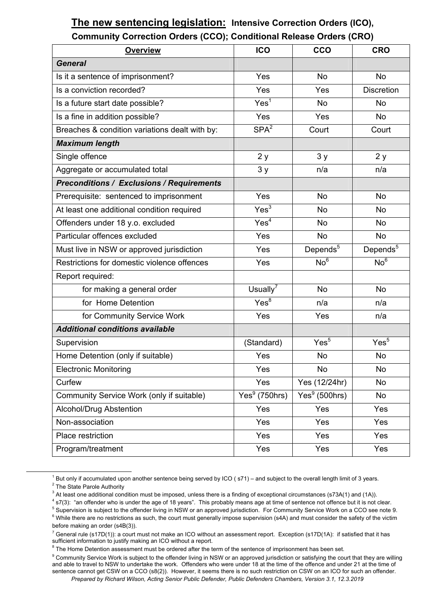## **The new sentencing legislation: Intensive Correction Orders (ICO), Community Correction Orders (CCO); Conditional Release Orders (CRO)**

| <b>Overview</b>                                  | <b>ICO</b>                  | <b>CCO</b>           | <b>CRO</b>           |
|--------------------------------------------------|-----------------------------|----------------------|----------------------|
| <b>General</b>                                   |                             |                      |                      |
| Is it a sentence of imprisonment?                | Yes                         | <b>No</b>            | <b>No</b>            |
| Is a conviction recorded?                        | Yes                         | Yes                  | <b>Discretion</b>    |
| Is a future start date possible?                 | Yes <sup>1</sup>            | <b>No</b>            | No                   |
| Is a fine in addition possible?                  | Yes                         | Yes                  | No                   |
| Breaches & condition variations dealt with by:   | SPA <sup>2</sup>            | Court                | Court                |
| <b>Maximum length</b>                            |                             |                      |                      |
| Single offence                                   | 2y                          | 3y                   | 2y                   |
| Aggregate or accumulated total                   | 3y                          | n/a                  | n/a                  |
| <b>Preconditions / Exclusions / Requirements</b> |                             |                      |                      |
| Prerequisite: sentenced to imprisonment          | Yes                         | <b>No</b>            | <b>No</b>            |
| At least one additional condition required       | Yes <sup>3</sup>            | <b>No</b>            | <b>No</b>            |
| Offenders under 18 y.o. excluded                 | Yes <sup>4</sup>            | No                   | No                   |
| Particular offences excluded                     | Yes                         | <b>No</b>            | <b>No</b>            |
| Must live in NSW or approved jurisdiction        | Yes                         | Depends <sup>5</sup> | Depends <sup>5</sup> |
| Restrictions for domestic violence offences      | Yes                         | No <sup>6</sup>      | No <sup>6</sup>      |
| Report required:                                 |                             |                      |                      |
| for making a general order                       | Usually $^7$                | No                   | <b>No</b>            |
| for Home Detention                               | Yes <sup>8</sup>            | n/a                  | n/a                  |
| for Community Service Work                       | Yes                         | Yes                  | n/a                  |
| <b>Additional conditions available</b>           |                             |                      |                      |
| Supervision                                      | (Standard)                  | Yes <sup>5</sup>     | Yes <sup>5</sup>     |
| Home Detention (only if suitable)                | Yes                         | <b>No</b>            | <b>No</b>            |
| <b>Electronic Monitoring</b>                     | Yes                         | No                   | No                   |
| Curfew                                           | Yes                         | Yes (12/24hr)        | No                   |
| Community Service Work (only if suitable)        | $\overline{Yes}^9$ (750hrs) | Yes $9(500$ hrs)     | No                   |
| Alcohol/Drug Abstention                          | Yes                         | Yes                  | Yes                  |
| Non-association                                  | Yes                         | Yes                  | Yes                  |
| Place restriction                                | Yes                         | Yes                  | Yes                  |
| Program/treatment                                | Yes                         | Yes                  | Yes                  |

<sup>&</sup>lt;u>1</u>  $1$  But only if accumulated upon another sentence being served by ICO ( $s71$ ) – and subject to the overall length limit of 3 years.

<sup>&</sup>lt;sup>2</sup> The State Parole Authority

<sup>&</sup>lt;sup>3</sup> At least one additional condition must be imposed, unless there is a finding of exceptional circumstances (s73A(1) and (1A)).<br><sup>4</sup> 37(3): "an effender who is under the gas of 19 years". This probably means ago at time

<sup>&</sup>lt;sup>4</sup> s7(3): "an offender who is under the age of 18 years". This probably means age at time of sentence not offence but it is not clear.

<sup>&</sup>lt;sup>5</sup> Supervision is subject to the offender living in NSW or an approved jurisdiction. For Community Service Work on a CCO see note 9.

 $6$  While there are no restrictions as such, the court must generally impose supervision (s4A) and must consider the safety of the victim before making an order (s4B(3)).

 $^7$  General rule (s17D(1)): a court must not make an ICO without an assessment report. Exception (s17D(1A): if satisfied that it has sufficient information to justify making an ICO without a report.

 $8$  The Home Detention assessment must be ordered after the term of the sentence of imprisonment has been set.

*Prepared by Richard Wilson, Acting Senior Public Defender, Public Defenders Chambers, Version 3.1, 12.3.2019*  <sup>9</sup> Community Service Work is subject to the offender living in NSW or an approved jurisdiction or satisfying the court that they are willing and able to travel to NSW to undertake the work. Offenders who were under 18 at the time of the offence and under 21 at the time of sentence cannot get CSW on a CCO (s8(2)). However, it seems there is no such restriction on CSW on an ICO for such an offender.